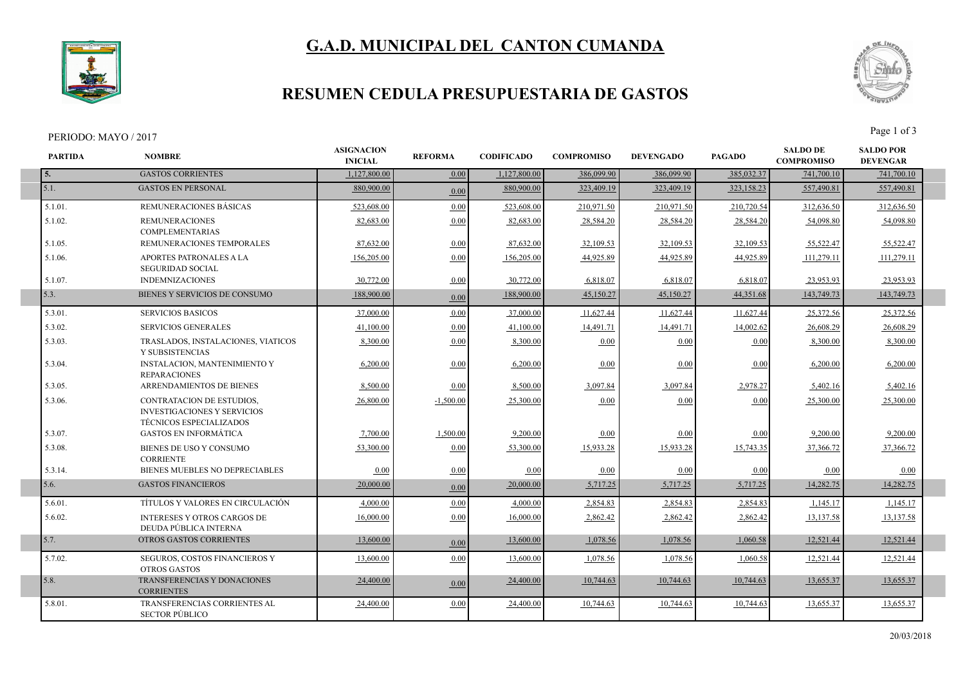



## **RESUMEN CEDULA PRESUPUESTARIA DE GASTOS**

#### PERIODO: MAYO / 2017

I



| <b>PARTIDA</b> | <b>NOMBRE</b>                                                                                     | <b>ASIGNACION</b><br><b>INICIAL</b> | <b>REFORMA</b> | <b>CODIFICADO</b> | <b>COMPROMISO</b> | <b>DEVENGADO</b> | <b>PAGADO</b> | <b>SALDO DE</b><br><b>COMPROMISO</b> | <b>SALDO POR</b><br><b>DEVENGAR</b> |  |
|----------------|---------------------------------------------------------------------------------------------------|-------------------------------------|----------------|-------------------|-------------------|------------------|---------------|--------------------------------------|-------------------------------------|--|
| 5.             | <b>GASTOS CORRIENTES</b>                                                                          | 1,127,800.00                        | 0.00           | 1,127,800.00      | 386,099.90        | 386,099.90       | 385,032.37    | 741,700.10                           | 741,700.10                          |  |
| $\vert$ 5.1.   | <b>GASTOS EN PERSONAL</b>                                                                         | 880,900.00                          | 0.00           | 880,900.00        | 323,409.19        | 323,409.19       | 323,158.23    | 557,490.81                           | 557,490.81                          |  |
| 5.1.01.        | REMUNERACIONES BÁSICAS                                                                            | 523,608.00                          | 0.00           | 523,608.00        | 210,971.50        | 210,971.50       | 210,720.54    | 312,636.50                           | 312,636.50                          |  |
| 5.1.02.        | <b>REMUNERACIONES</b><br><b>COMPLEMENTARIAS</b>                                                   | 82,683.00                           | 0.00           | 82,683.00         | 28,584.20         | 28,584.20        | 28,584.20     | 54,098.80                            | 54,098.80                           |  |
| 5.1.05.        | REMUNERACIONES TEMPORALES                                                                         | 87,632.00                           | 0.00           | 87,632.00         | 32,109.53         | 32,109.53        | 32,109.53     | 55,522.47                            | 55,522.47                           |  |
| 5.1.06.        | APORTES PATRONALES A LA<br><b>SEGURIDAD SOCIAL</b>                                                | 156,205.00                          | 0.00           | 156,205.00        | 44.925.89         | 44.925.89        | 44.925.89     | 111,279.11                           | 111,279.11                          |  |
| 5.1.07.        | <b>INDEMNIZACIONES</b>                                                                            | 30,772.00                           | 0.00           | 30,772.00         | 6,818.07          | 6,818.0          | 6,818.07      | 23,953.93                            | 23,953.93                           |  |
| 5.3.           | BIENES Y SERVICIOS DE CONSUMO                                                                     | 188,900.00                          | 0.00           | 188,900.00        | 45,150.27         | 45,150.27        | 44,351.68     | 143,749.73                           | 143,749.73                          |  |
| 5.3.01.        | <b>SERVICIOS BASICOS</b>                                                                          | 37,000.00                           | 0.00           | 37,000.00         | 11,627.44         | 11,627.44        | 11,627.44     | 25,372.56                            | 25,372.56                           |  |
| 5.3.02.        | <b>SERVICIOS GENERALES</b>                                                                        | 41,100.00                           | 0.00           | 41,100.00         | 14,491.71         | 14,491.71        | 14,002.62     | 26,608.29                            | 26,608.29                           |  |
| 5.3.03.        | TRASLADOS, INSTALACIONES, VIATICOS<br>Y SUBSISTENCIAS                                             | 8,300.00                            | 0.00           | 8,300.00          | 0.00              | 0.00             | 0.00          | 8,300.00                             | 8,300.00                            |  |
| 5.3.04.        | INSTALACION, MANTENIMIENTO Y<br><b>REPARACIONES</b>                                               | 6,200.00                            | 0.00           | 6,200.00          | 0.00              | 0.00             | 0.00          | 6,200.00                             | 6,200.00                            |  |
| 5.3.05.        | ARRENDAMIENTOS DE BIENES                                                                          | 8,500.00                            | 0.00           | 8,500.00          | 3,097.84          | 3,097.84         | 2,978.27      | 5,402.16                             | 5,402.16                            |  |
| 5.3.06.        | CONTRATACION DE ESTUDIOS,<br><b>INVESTIGACIONES Y SERVICIOS</b><br><b>TÉCNICOS ESPECIALIZADOS</b> | 26,800.00                           | $-1,500.00$    | 25,300.00         | 0.00              | 0.00             | 0.00          | 25,300.00                            | 25,300.00                           |  |
| 5.3.07.        | <b>GASTOS EN INFORMÁTICA</b>                                                                      | 7,700.00                            | 1,500.00       | 9,200.00          | 0.00              | 0.00             | 0.00          | 9,200.00                             | 9,200.00                            |  |
| 5.3.08.        | BIENES DE USO Y CONSUMO<br><b>CORRIENTE</b>                                                       | 53.300.00                           | 0.00           | 53,300.00         | 15,933.28         | 15,933.28        | 15,743.35     | 37,366.72                            | 37,366.72                           |  |
| 5.3.14.        | BIENES MUEBLES NO DEPRECIABLES                                                                    | 0.00                                | 0.00           | 0.00              | 0.00              | 0.00             | 0.00          | 0.00                                 | 0.00                                |  |
| 5.6.           | <b>GASTOS FINANCIEROS</b>                                                                         | 20,000.00                           | 0.00           | 20,000.00         | 5,717.25          | 5,717.25         | 5,717.25      | 14,282.75                            | 14,282.75                           |  |
| 5.6.01.        | TÍTULOS Y VALORES EN CIRCULACIÓN                                                                  | 4.000.00                            | 0.00           | 4,000.00          | 2,854.83          | 2,854.83         | 2,854.83      | 1,145.17                             | 1,145.17                            |  |
| 5.6.02.        | <b>INTERESES Y OTROS CARGOS DE</b><br>DEUDA PÚBLICA INTERNA                                       | 16,000.00                           | 0.00           | 16,000.00         | 2,862.42          | 2,862.42         | 2,862.42      | 13,137.58                            | 13,137.58                           |  |
| 5.7.           | OTROS GASTOS CORRIENTES                                                                           | 13,600.00                           | 0.00           | 13,600.00         | 1,078.56          | 1,078.56         | 1,060.58      | 12,521.44                            | 12,521.44                           |  |
| 5.7.02.        | <b>SEGUROS, COSTOS FINANCIEROS Y</b><br><b>OTROS GASTOS</b>                                       | 13,600.00                           | 0.00           | 13,600.00         | 1.078.56          | 1.078.56         | 1.060.58      | 12.521.44                            | 12,521.44                           |  |
| 5.8.           | TRANSFERENCIAS Y DONACIONES<br><b>CORRIENTES</b>                                                  | 24,400.00                           | 0.00           | 24,400.00         | 10,744.63         | 10,744.63        | 10,744.63     | 13,655.37                            | 13,655.37                           |  |
| 5.8.01.        | TRANSFERENCIAS CORRIENTES AL<br><b>SECTOR PÚBLICO</b>                                             | 24,400.00                           | 0.00           | 24,400.00         | 10,744.63         | 10,744.63        | 10,744.63     | 13,655.37                            | 13,655.37                           |  |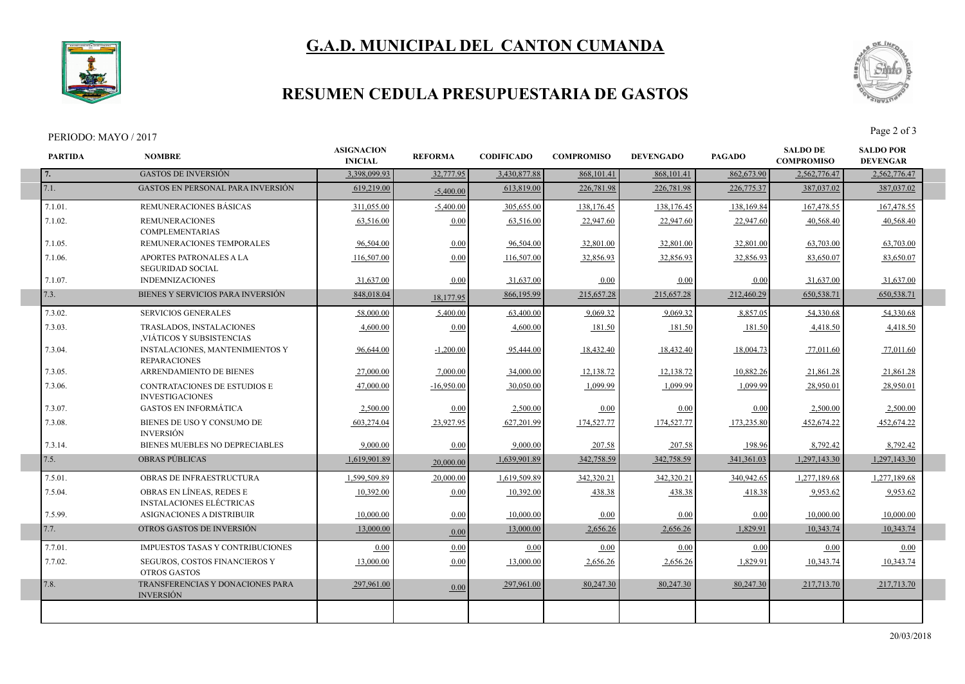



# **RESUMEN CEDULA PRESUPUESTARIA DE GASTOS**

#### PERIODO: MAYO / 2017<br>Page 2 of 3

I

I

I



| <b>PARTIDA</b> | <b>NOMBRE</b>                                                 | <b>ASIGNACION</b><br><b>INICIAL</b> | <b>REFORMA</b> | <b>CODIFICADO</b> | <b>COMPROMISO</b> | <b>DEVENGADO</b> | <b>PAGADO</b> | <b>SALDO DE</b><br><b>COMPROMISO</b> | <b>SALDO POR</b><br><b>DEVENGAR</b> |
|----------------|---------------------------------------------------------------|-------------------------------------|----------------|-------------------|-------------------|------------------|---------------|--------------------------------------|-------------------------------------|
| 7.             | <b>GASTOS DE INVERSIÓN</b>                                    | 3,398,099.93                        | 32,777.95      | 3,430,877.88      | 868, 101.41       | 868,101.41       | 862,673.90    | 2,562,776.47                         | 2,562,776.47                        |
| 7.1.           | <b>GASTOS EN PERSONAL PARA INVERSIÓN</b>                      | 619,219.00                          | $-5,400.00$    | 613,819.00        | 226,781.98        | 226,781.98       | 226,775.37    | 387,037.02                           | 387,037.02                          |
| 7.1.01.        | REMUNERACIONES BÁSICAS                                        | 311,055.00                          | $-5,400.00$    | 305,655.00        | 138,176.45        | 138,176.45       | 138,169.84    | 167,478.55                           | 167,478.55                          |
| 7.1.02.        | <b>REMUNERACIONES</b><br><b>COMPLEMENTARIAS</b>               | 63.516.00                           | 0.00           | 63,516.00         | 22,947.60         | 22,947.60        | 22,947.60     | 40.568.40                            | 40.568.40                           |
| 7.1.05.        | REMUNERACIONES TEMPORALES                                     | 96,504.00                           | 0.00           | 96,504.00         | 32,801.00         | 32,801.00        | 32,801.00     | 63,703.00                            | 63,703.00                           |
| 7.1.06.        | APORTES PATRONALES A LA<br><b>SEGURIDAD SOCIAL</b>            | 116,507.00                          | 0.00           | 116,507.00        | 32,856.93         | 32,856.93        | 32,856.93     | 83,650.07                            | 83,650.07                           |
| 7.1.07.        | <b>INDEMNIZACIONES</b>                                        | 31,637.00                           | 0.00           | 31,637.00         | 0.00              | 0.00             | 0.00          | 31,637.00                            | 31,637.00                           |
| 7.3.           | BIENES Y SERVICIOS PARA INVERSIÓN                             | 848,018.04                          | 18,177.95      | 866,195.99        | 215,657.28        | 215,657.28       | 212,460.29    | 650.538.71                           | 650,538.71                          |
| 7.3.02.        | <b>SERVICIOS GENERALES</b>                                    | 58,000.00                           | 5,400.00       | 63,400.00         | 9.069.32          | 9,069.32         | 8.857.05      | 54,330.68                            | 54.330.68                           |
| 7.3.03.        | TRASLADOS, INSTALACIONES<br>VIÁTICOS Y SUBSISTENCIAS          | 4,600.00                            | 0.00           | 4,600.00          | 181.50            | 181.50           | 181.50        | 4,418.50                             | 4,418.50                            |
| 7.3.04.        | <b>INSTALACIONES, MANTENIMIENTOS Y</b><br><b>REPARACIONES</b> | 96,644.00                           | $-1,200.00$    | 95,444.00         | 18,432.40         | 18,432.40        | 18,004.73     | 77,011.60                            | 77,011.60                           |
| 7.3.05.        | <b>ARRENDAMIENTO DE BIENES</b>                                | 27,000.00                           | 7,000.00       | 34,000.00         | 12,138.72         | 12,138.72        | 10,882.26     | 21,861.28                            | 21,861.28                           |
| 7.3.06.        | CONTRATACIONES DE ESTUDIOS E<br><b>INVESTIGACIONES</b>        | 47,000.00                           | $-16,950.00$   | 30,050.00         | 1,099.99          | 1,099.99         | 1,099.99      | 28,950.01                            | 28,950.01                           |
| 7.3.07.        | <b>GASTOS EN INFORMÁTICA</b>                                  | 2.500.00                            | 0.00           | 2,500.00          | 0.00              | 0.00             | 0.00          | 2.500.00                             | 2.500.00                            |
| 7.3.08.        | BIENES DE USO Y CONSUMO DE<br><b>INVERSIÓN</b>                | 603,274.04                          | 23,927.95      | 627,201.99        | 174,527.77        | 174,527.77       | 173,235.80    | 452,674.22                           | 452,674.22                          |
| 7.3.14.        | BIENES MUEBLES NO DEPRECIABLES                                | 9.000.00                            | 0.00           | 9.000.00          | 207.58            | 207.58           | 198.96        | 8,792.42                             | 8,792.42                            |
| 7.5.           | <b>OBRAS PUBLICAS</b>                                         | 1,619,901.89                        | 20,000.00      | 1,639,901.89      | 342,758.59        | 342,758.59       | 341,361.03    | 1,297,143.30                         | 1,297,143.30                        |
| 7.5.01.        | OBRAS DE INFRAESTRUCTURA                                      | 1,599,509.89                        | 20,000.00      | 1,619,509.89      | 342,320.21        | 342,320.21       | 340,942.65    | 1,277,189.68                         | 1,277,189.68                        |
| 7.5.04.        | OBRAS EN LÍNEAS. REDES E<br><b>INSTALACIONES ELÉCTRICAS</b>   | 10,392.00                           | 0.00           | 10,392.00         | 438.38            | 438.38           | 418.38        | 9,953.62                             | 9,953.62                            |
| 7.5.99.        | ASIGNACIONES A DISTRIBUIR                                     | 10,000.00                           | 0.00           | 10,000.00         | 0.00              | 0.00             | 0.00          | 10,000.00                            | 10,000.00                           |
| 7.7.           | OTROS GASTOS DE INVERSIÓN                                     | 13,000.00                           | 0.00           | 13,000.00         | 2,656.26          | 2,656.26         | 1,829.91      | 10,343.74                            | 10,343.74                           |
| 7.7.01.        | <b>IMPUESTOS TASAS Y CONTRIBUCIONES</b>                       | 0.00                                | 0.00           | 0.00              | 0.00              | 0.00             | 0.00          | 0.00                                 | 0.00                                |
| 7.7.02.        | SEGUROS, COSTOS FINANCIEROS Y<br><b>OTROS GASTOS</b>          | 13,000.00                           | 0.00           | 13,000.00         | 2,656.26          | 2,656.26         | 1,829.91      | 10,343.74                            | 10,343.74                           |
| 7.8.           | TRANSFERENCIAS Y DONACIONES PARA<br><b>INVERSIÓN</b>          | 297,961.00                          | 0.00           | 297.961.00        | 80,247.30         | 80,247.30        | 80,247.30     | 217,713.70                           | 217,713.70                          |
|                |                                                               |                                     |                |                   |                   |                  |               |                                      |                                     |
|                |                                                               |                                     |                |                   |                   |                  |               |                                      |                                     |